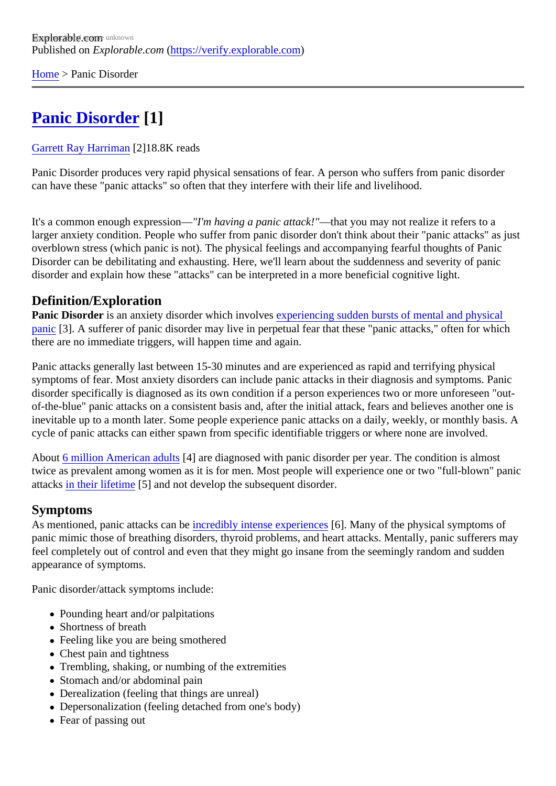[Home](https://verify.explorable.com/)> Panic Disorder

# [Panic Disorder](https://verify.explorable.com/e/panic-disorder)[1]

#### [Garrett Ray Harrima](https://verify.explorable.com/users/grharriman)<sup>[2]</sup>18.8K reads

Panic Disorder produces very rapid physical sensations of fear. A person who suffers from panic disorder can have these "panic attacks" so often that they interfere with their life and livelihood.

It's a common enough expressiol - m having a panic attack!"-that you may not realize it refers to a larger anxiety condition. People who suffer from panic disorder don't think about their "panic attacks" as ju overblown stress (which panic is not). The physical feelings and accompanying fearful thoughts of Panic Disorder can be debilitating and exhausting. Here, we'll learn about the suddenness and severity of panic disorder and explain how these "attacks" can be interpreted in a more beneficial cognitive light.

### Definition/Exploration

Panic Disorder is an anxiety disorder which involves periencing sudden bursts of mental and physical [panic](http://www.nytimes.com/health/guides/disease/generalized-anxiety-disorder/print.html)[3]. A sufferer of panic disorder may live in perpetual fear that these "panic attacks," often for which there are no immediate triggers, will happen time and again.

Panic attacks generally last between 15-30 minutes and are experienced as rapid and terrifying physical symptoms of fear. Most anxiety disorders can include panic attacks in their diagnosis and symptoms. Pani disorder specifically is diagnosed as its own condition if a person experiences two or more unforeseen "outof-the-blue" panic attacks on a consistent basis and, after the initial attack, fears and believes another one inevitable up to a month later. Some people experience panic attacks on a daily, weekly, or monthly basis. cycle of panic attacks can either spawn from specific identifiable triggers or where none are involved.

About [6 million American adult](http://www.adaa.org/understanding-anxiety/panic-disorder-agoraphobia)\$4] are diagnosed with panic disorder per year. The condition is almost twice as prevalent among women as it is for men. Most people will experience one or two "full-blown" pani attack[s in their lifetime](http://www.mayoclinic.org/diseases-conditions/panic-attacks/basics/definition/con-20020825)<sup>[5]</sup> and not develop the subsequent disorder.

### Symptoms

As mentioned, panic attacks canibe redibly intense experiences. Many of the physical symptoms of panic mimic those of breathing disorders, thyroid problems, and heart attacks. Mentally, panic sufferers m feel completely out of control and even that they might go insane from the seemingly random and sudden appearance of symptoms.

Panic disorder/attack symptoms include:

- Pounding heart and/or palpitations
- Shortness of breath
- Feeling like you are being smothered
- Chest pain and tightness
- Trembling, shaking, or numbing of the extremities
- Stomach and/or abdominal pain
- Derealization (feeling that things are unreal)
- Depersonalization (feeling detached from one's body)
- Fear of passing out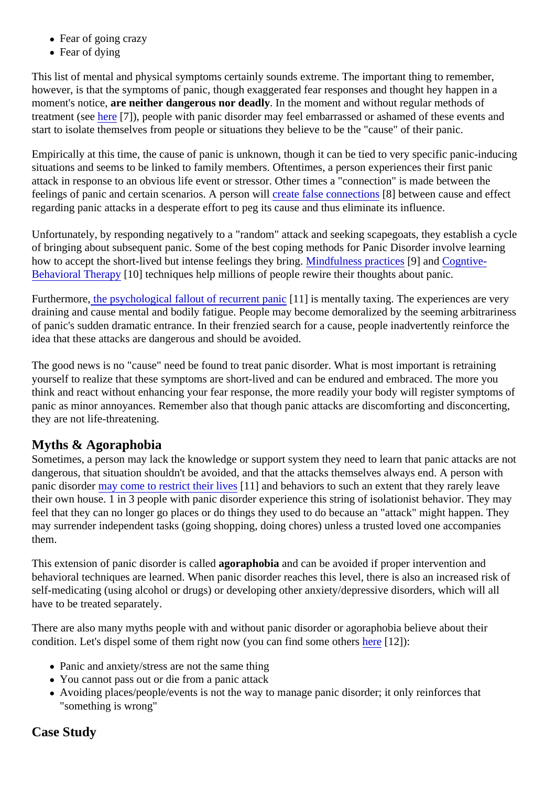- Fear of going crazy
- Fear of dying

This list of mental and physical symptoms certainly sounds extreme. The important thing to remember, however, is that the symptoms of panic, though exaggerated fear responses and thought hey happen in a moment's notice are neither dangerous nor deadly In the moment and without regular methods of treatment (sebere[7]), people with panic disorder may feel embarrassed or ashamed of these events and start to isolate themselves from people or situations they believe to be the "cause" of their panic.

Empirically at this time, the cause of panic is unknown, though it can be tied to very specific panic-inducing situations and seems to be linked to family members. Oftentimes, a person experiences their first panic attack in response to an obvious life event or stressor. Other times a "connection" is made between the feelings of panic and certain scenarios. A persono with the false connections between cause and effect regarding panic attacks in a desperate effort to peg its cause and thus eliminate its influence.

Unfortunately, by responding negatively to a "random" attack and seeking scapegoats, they establish a cy of bringing about subsequent panic. Some of the best coping methods for Panic Disorder involve learning how to accept the short-lived but intense feelings they branged fulness practicer and [Cogntive-](https://explorable.com/cognitive-behavioral-therapy-cbt)[Behavioral Therap](https://explorable.com/cognitive-behavioral-therapy-cbt)<sub>10</sub>] techniques help millions of people rewire their thoughts about panic.

Furthermorethe psychological fallout of recurrent pand [1] is mentally taxing. The experiences are very draining and cause mental and bodily fatigue. People may become demoralized by the seeming arbitrariness of panic's sudden dramatic entrance. In their frenzied search for a cause, people inadvertently reinforce the idea that these attacks are dangerous and should be avoided.

The good news is no "cause" need be found to treat panic disorder. What is most important is retraining yourself to realize that these symptoms are short-lived and can be endured and embraced. The more you think and react without enhancing your fear response, the more readily your body will register symptoms of panic as minor annoyances. Remember also that though panic attacks are discomforting and disconcerting, they are not life-threatening.

## Myths & Agoraphobia

Sometimes, a person may lack the knowledge or support system they need to learn that panic attacks are dangerous, that situation shouldn't be avoided, and that the attacks themselves always end. A person with panic disordemay come to restrict their lives 1] and behaviors to such an extent that they rarely leave their own house. 1 in 3 people with panic disorder experience this string of isolationist behavior. They may feel that they can no longer go places or do things they used to do because an "attack" might happen. The may surrender independent tasks (going shopping, doing chores) unless a trusted loved one accompanies them.

This extension of panic disorder is callego aphobia and can be avoided if proper intervention and behavioral techniques are learned. When panic disorder reaches this level, there is also an increased risk self-medicating (using alcohol or drugs) or developing other anxiety/depressive disorders, which will all have to be treated separately.

There are also many myths people with and without panic disorder or agoraphobia believe about their condition. Let's dispel some of them right now (you can find some diberted 21):

- Panic and anxiety/stress are not the same thing
- You cannot pass out or die from a panic attack
- Avoiding places/people/events is not the way to manage panic disorder; it only reinforces that "something is wrong"